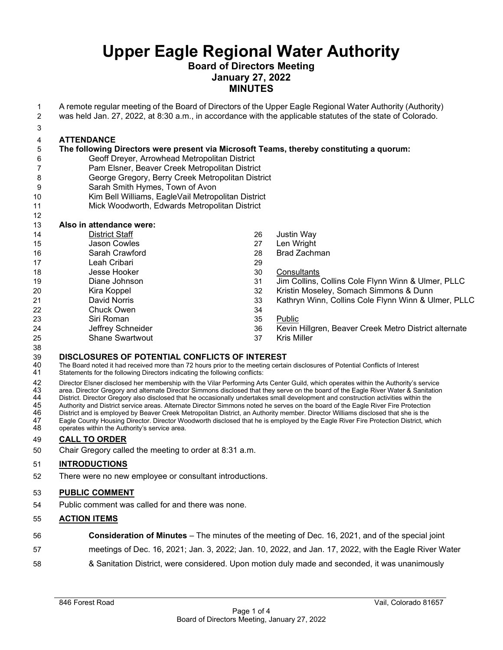# **Board of Directors Meeting January 27, 2022 MINUTES**

- A remote regular meeting of the Board of Directors of the Upper Eagle Regional Water Authority (Authority)
- was held Jan. 27, 2022, at 8:30 a.m., in accordance with the applicable statutes of the state of Colorado.
- 

# **ATTENDANCE**

# **The following Directors were present via Microsoft Teams, thereby constituting a quorum:**

- Geoff Dreyer, Arrowhead Metropolitan District Pam Elsner, Beaver Creek Metropolitan District
- George Gregory, Berry Creek Metropolitan District
- Sarah Smith Hymes, Town of Avon
- Kim Bell Williams, EagleVail Metropolitan District
- Mick Woodworth, Edwards Metropolitan District

#### **Also in attendance were:** District Staff Jason Cowles Sarah Crawford Leah Cribari Jesse Hooker Diane Johnson Kira Koppel David Norris Chuck Owen Siri Roman Jeffrey Schneider Shane Swartwout 26 Justin Way<br>27 Len Wright Len Wright Brad Zachman Consultants Jim Collins, Collins Cole Flynn Winn & Ulmer, PLLC Kristin Moseley, Somach Simmons & Dunn Kathryn Winn, Collins Cole Flynn Winn & Ulmer, PLLC Public Kevin Hillgren, Beaver Creek Metro District alternate Kris Miller

# **29 DISCLOSURES OF POTENTIAL CONFLICTS OF INTEREST**<br>40 The Board noted it had received more than 72 hours prior to the meeting certain

- 40 The Board noted it had received more than 72 hours prior to the meeting certain disclosures of Potential Conflicts of Interest<br>41 Statements for the following Directors indicating the following conflicts:
- Statements for the following Directors indicating the following conflicts:

er 42 Director Elsner disclosed her membership with the Vilar Performing Arts Center Guild, which operates within the Authority's service<br>13 area. Director Gregory and alternate Director Simmons disclosed that they serve o

43 area. Director Gregory and alternate Director Simmons disclosed that they serve on the board of the Eagle River Water & Sanitation<br>44 District. Director Gregory also disclosed that he occasionally undertakes small devel

- 44 District. Director Gregory also disclosed that he occasionally undertakes small development and construction activities within the<br>45 Authority and District service areas. Alternate Director Simmons noted he serves on t
- 45 Authority and District service areas. Alternate Director Simmons noted he serves on the board of the Eagle River Fire Protection<br>46 District and is employed by Beaver Creek Metropolitan District, an Authority member. Di
- 46 District and is employed by Beaver Creek Metropolitan District, an Authority member. Director Williams disclosed that she is the<br>47 Eagle County Housing Director. Director Woodworth disclosed that he is emploved 47 Eagle County Housing Director. Director Woodworth disclosed that he is employed by the Eagle River Fire Protection District, which<br>48 operates within the Authority's service area. operates within the Authority's service area.

# **CALL TO ORDER**

Chair Gregory called the meeting to order at 8:31 a.m.

# **INTRODUCTIONS**

There were no new employee or consultant introductions.

# **PUBLIC COMMENT**

Public comment was called for and there was none.

# **ACTION ITEMS**

- **Consideration of Minutes**  The minutes of the meeting of Dec. 16, 2021, and of the special joint
- meetings of Dec. 16, 2021; Jan. 3, 2022; Jan. 10, 2022, and Jan. 17, 2022, with the Eagle River Water
- & Sanitation District, were considered. Upon motion duly made and seconded, it was unanimously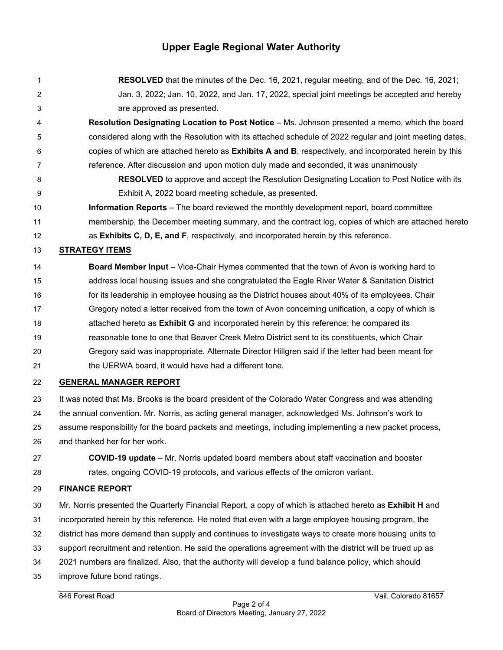- **RESOLVED** that the minutes of the Dec. 16, 2021, regular meeting, and of the Dec. 16, 2021; Jan. 3, 2022; Jan. 10, 2022, and Jan. 17, 2022, special joint meetings be accepted and hereby are approved as presented.
- **Resolution Designating Location to Post Notice** Ms. Johnson presented a memo, which the board considered along with the Resolution with its attached schedule of 2022 regular and joint meeting dates, copies of which are attached hereto as **Exhibits A and B**, respectively, and incorporated herein by this reference. After discussion and upon motion duly made and seconded, it was unanimously
- **RESOLVED** to approve and accept the Resolution Designating Location to Post Notice with its Exhibit A, 2022 board meeting schedule, as presented.
- **Information Reports**  The board reviewed the monthly development report, board committee membership, the December meeting summary, and the contract log, copies of which are attached hereto as **Exhibits C, D, E, and F**, respectively, and incorporated herein by this reference.

# **STRATEGY ITEMS**

**Board Member Input** – Vice-Chair Hymes commented that the town of Avon is working hard to address local housing issues and she congratulated the Eagle River Water & Sanitation District 16 for its leadership in employee housing as the District houses about 40% of its employees. Chair Gregory noted a letter received from the town of Avon concerning unification, a copy of which is attached hereto as **Exhibit G** and incorporated herein by this reference; he compared its reasonable tone to one that Beaver Creek Metro District sent to its constituents, which Chair Gregory said was inappropriate. Alternate Director Hillgren said if the letter had been meant for 21 the UERWA board, it would have had a different tone.

# **GENERAL MANAGER REPORT**

- It was noted that Ms. Brooks is the board president of the Colorado Water Congress and was attending the annual convention. Mr. Norris, as acting general manager, acknowledged Ms. Johnson's work to assume responsibility for the board packets and meetings, including implementing a new packet process, and thanked her for her work.
- **COVID-19 update** Mr. Norris updated board members about staff vaccination and booster rates, ongoing COVID-19 protocols, and various effects of the omicron variant.

# **FINANCE REPORT**

 Mr. Norris presented the Quarterly Financial Report, a copy of which is attached hereto as **Exhibit H** and incorporated herein by this reference. He noted that even with a large employee housing program, the district has more demand than supply and continues to investigate ways to create more housing units to support recruitment and retention. He said the operations agreement with the district will be trued up as 2021 numbers are finalized. Also, that the authority will develop a fund balance policy, which should improve future bond ratings.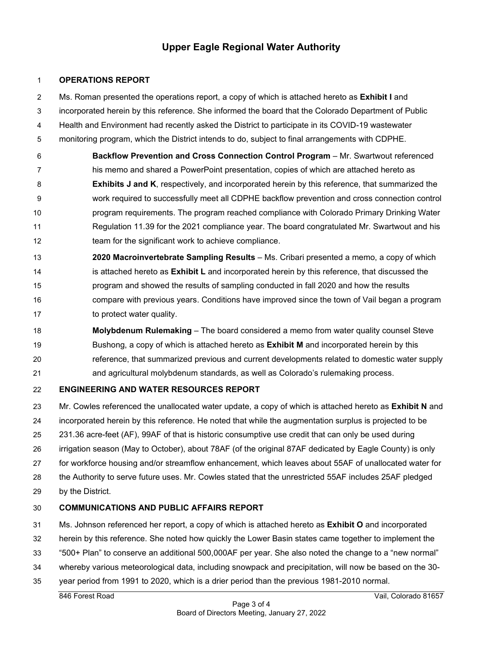#### **OPERATIONS REPORT**

Ms. Roman presented the operations report, a copy of which is attached hereto as **Exhibit I** and

incorporated herein by this reference. She informed the board that the Colorado Department of Public

Health and Environment had recently asked the District to participate in its COVID-19 wastewater

monitoring program, which the District intends to do, subject to final arrangements with CDPHE.

 **Backflow Prevention and Cross Connection Control Program** – Mr. Swartwout referenced his memo and shared a PowerPoint presentation, copies of which are attached hereto as **Exhibits J and K**, respectively, and incorporated herein by this reference, that summarized the work required to successfully meet all CDPHE backflow prevention and cross connection control program requirements. The program reached compliance with Colorado Primary Drinking Water Regulation 11.39 for the 2021 compliance year. The board congratulated Mr. Swartwout and his team for the significant work to achieve compliance.

 **2020 Macroinvertebrate Sampling Results** – Ms. Cribari presented a memo, a copy of which is attached hereto as **Exhibit L** and incorporated herein by this reference, that discussed the program and showed the results of sampling conducted in fall 2020 and how the results compare with previous years. Conditions have improved since the town of Vail began a program 17 to protect water quality.

 **Molybdenum Rulemaking** – The board considered a memo from water quality counsel Steve Bushong, a copy of which is attached hereto as **Exhibit M** and incorporated herein by this reference, that summarized previous and current developments related to domestic water supply and agricultural molybdenum standards, as well as Colorado's rulemaking process.

# **ENGINEERING AND WATER RESOURCES REPORT**

Mr. Cowles referenced the unallocated water update, a copy of which is attached hereto as **Exhibit N** and

incorporated herein by this reference. He noted that while the augmentation surplus is projected to be

231.36 acre-feet (AF), 99AF of that is historic consumptive use credit that can only be used during

irrigation season (May to October), about 78AF (of the original 87AF dedicated by Eagle County) is only

for workforce housing and/or streamflow enhancement, which leaves about 55AF of unallocated water for

the Authority to serve future uses. Mr. Cowles stated that the unrestricted 55AF includes 25AF pledged

by the District.

# **COMMUNICATIONS AND PUBLIC AFFAIRS REPORT**

Ms. Johnson referenced her report, a copy of which is attached hereto as **Exhibit O** and incorporated

herein by this reference. She noted how quickly the Lower Basin states came together to implement the

- "500+ Plan" to conserve an additional 500,000AF per year. She also noted the change to a "new normal"
- whereby various meteorological data, including snowpack and precipitation, will now be based on the 30-
- year period from 1991 to 2020, which is a drier period than the previous 1981-2010 normal.